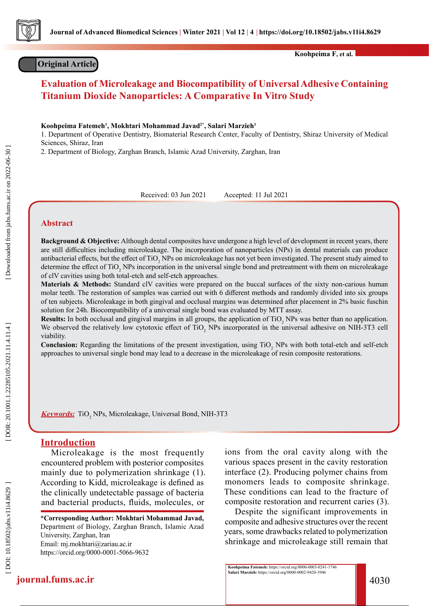

# **Original Article**

**Koohpeima F, et al.**

# **Evaluation of Microleakage and Biocompatibility of Universal Adhesive Containing Titanium Dioxide Nanoparticles: A Comparative In Vitro Study**

**Koohpeima Fatemeh 1 , Mokhtari Mohammad Javad2\*, Salari Marzieh 1**

1. Department of Operative Dentistry, Biomaterial Research Center, Faculty of Dentistry, Shiraz University of Medical Sciences, Shiraz, Iran

2. Department of Biology, Zarghan Branch, Islamic Azad University, Zarghan, Iran

Received: 03 Jun 2021 Accepted: 11 Jul 2021

### **Abstract**

**Background & Objective:** Although dental composites have undergone a high level of development in recent years, there are still difficulties including microleakage. The incorporation of nanoparticles (NPs) in dental materials can produce antibacterial effects, but the effect of TiO<sub>2</sub> NPs on microleakage has not yet been investigated. The present study aimed to determine the effect of TiO<sub>2</sub> NPs incorporation in the universal single bond and pretreatment with them on microleakage of clV cavities using both total-etch and self-etch approaches.

**Materials & Methods:** Standard clV cavities were prepared on the buccal surfaces of the sixty non-carious human molar teeth. The restoration of samples was carried out with 6 different methods and randomly divided into six groups of ten subjects. Microleakage in both gingival and occlusal margins was determined after placement in 2% basic fuschin solution for 24h. Biocompatibility of a universal single bond was evaluated by MTT assay.

**Results:** In both occlusal and gingival margins in all groups, the application of  $TiO<sub>2</sub>$  NPs was better than no application. We observed the relatively low cytotoxic effect of  $TiO<sub>2</sub>$  NPs incorporated in the universal adhesive on NIH-3T3 cell viability.

**Conclusion:** Regarding the limitations of the present investigation, using TiO<sub>2</sub> NPs with both total-etch and self-etch approaches to universal single bond may lead to a decrease in the microleakage of resin composite restorations.

**Keywords:** TiO 2 NPs, Microleakage, Universal Bond, NIH-3T3

# **Introduction**

Microleakage is the most frequently encountered problem with posterior composites mainly due to polymerization shrinkage (1). According to Kidd, microleakage is defined as the clinically undetectable passage of bacteria and bacterial products, fluids, molecules, or

**\*Corresponding Author: Mokhtari Mohammad Javad,**  Department of Biology, Zarghan Branch, Islamic Azad University, Zarghan, Iran Email: mj.mokhtari@zariau.ac.ir https://orcid.org/0000-0001-5066-9632

ions from the oral cavity along with the various spaces present in the cavity restoration interface (2). Producing polymer chains from monomers leads to composite shrinkage. These conditions can lead to the fracture of composite restoration and recurrent caries (3).

Despite the significant improvements in composite and adhesive structures over the recent years, some drawbacks related to polymerization shrinkage and microleakage still remain that

**Koohpeima Fatemeh:** https://orcid.org/0000-0003-0241-1746 **Salari Marzieh:** https://orcid.org/0000-0002-9420-3946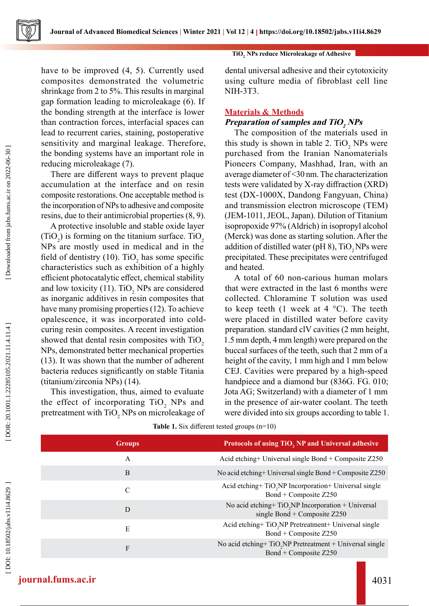**Journal of Advanced Biomedical Sciences | Winter 2021 | Vol 12 | 4 https://doi.org/10.18502/jabs.v11i4.8629** 

have to be improved (4, 5). Currently used composites demonstrated the volumetric shrinkage from 2 to 5%. This results in marginal gap formation leading to microleakage (6). If the bonding strength at the interface is lower than contraction forces, interfacial spaces can lead to recurrent caries, staining, postoperative sensitivity and marginal leakage. Therefore, the bonding systems have an important role in reducing microleakage (7).

There are different ways to prevent plaque accumulation at the interface and on resin composite restorations. One acceptable method is the incorporation of NPs to adhesive and composite resins, due to their antimicrobial properties (8, 9).

A protective insoluble and stable oxide layer  $(TiO_2)$  is forming on the titanium surface. TiO<sub>2</sub> NPs are mostly used in medical and in the field of dentistry (10). TiO<sub>2</sub> has some specific characteristics such as exhibition of a highly efficient photocatalytic effect, chemical stability and low toxicity (11). TiO<sub>2</sub> NPs are considered as inorganic additives in resin composites that have many promising properties (12). To achieve opalescence, it was incorporated into coldcuring resin composites. A recent investigation showed that dental resin composites with  $TiO<sub>2</sub>$ NPs, demonstrated better mechanical properties (13). It was shown that the number of adherent bacteria reduces significantly on stable Titania (titanium/zirconia NPs) (14).

This investigation, thus, aimed to evaluate the effect of incorporating  $TiO_2$  NPs and pretreatment with  $\rm TiO_2$  NPs on microleakage of

### **TiO 2 NPs reduce Microleakage of Adhesive**

dental universal adhesive and their cytotoxicity using culture media of fibroblast cell line NIH-3T3.

### **Materials & Methods**

# **Preparation of samples and TiO<sup>2</sup> NPs**

The composition of the materials used in this study is shown in table 2.  $TiO_2$  NPs were purchased from the Iranian Nanomaterials Pioneers Company, Mashhad, Iran, with an average diameter of <30 nm. The characterization tests were validated by X-ray diffraction (XRD) test (DX-1000X, Dandong Fangyuan, China) and transmission electron microscope (TEM) (JEM-1011, JEOL, Japan). Dilution of Titanium isopropoxide 97% (Aldrich) in isopropyl alcohol (Merck) was done as starting solution. After the addition of distilled water (pH 8),  $TiO$ , NPs were precipitated. These precipitates were centrifuged and heated.

A total of 60 non-carious human molars that were extracted in the last 6 months were collected. Chloramine T solution was used to keep teeth (1 week at 4  $^{\circ}$ C). The teeth were placed in distilled water before cavity preparation. standard clV cavities (2 mm height, 1.5 mm depth, 4 mm length) were prepared on the buccal surfaces of the teeth, such that 2 mm of a height of the cavity, 1 mm high and 1 mm below CEJ. Cavities were prepared by a high-speed handpiece and a diamond bur (836G. FG. 010; Jota AG; Switzerland) with a diameter of 1 mm in the presence of air-water coolant. The teeth were divided into six groups according to table 1.

| Table 1. Six different tested groups $(n=10)$ |  |  |
|-----------------------------------------------|--|--|
|-----------------------------------------------|--|--|

| <b>Groups</b> | Protocols of using TiO, NP and Universal adhesive                                                |
|---------------|--------------------------------------------------------------------------------------------------|
| A             | Acid etching + Universal single Bond + Composite $Z250$                                          |
| B             | No acid etching + Universal single Bond + Composite $Z250$                                       |
| C             | Acid etching+TiO <sub>2</sub> NP Incorporation+ Universal single<br>Bond + Composite Z250        |
| D             | No acid etching+ TiO <sub>2</sub> NP Incorporation + Universal<br>single Bond + Composite $Z250$ |
| E             | Acid etching+ TiO <sub>2</sub> NP Pretreatment+ Universal single<br>Bond + Composite Z250        |
| F             | No acid etching+TiO <sub>2</sub> NP Pretreatment + Universal single<br>Bond + Composite Z250     |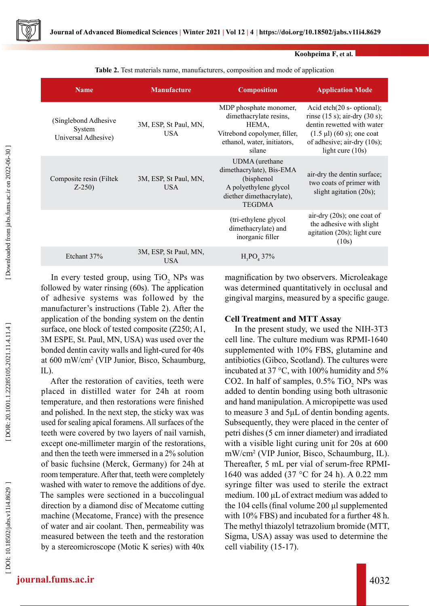

| Koohpeima F, et al. |  |  |
|---------------------|--|--|
|---------------------|--|--|

**Table 2.** Test materials name, manufacturers, composition and mode of application

| <b>Name</b>                                           | <b>Manufacture</b>                  | <b>Composition</b>                                                                                                                 | <b>Application Mode</b>                                                                                                                                                                            |
|-------------------------------------------------------|-------------------------------------|------------------------------------------------------------------------------------------------------------------------------------|----------------------------------------------------------------------------------------------------------------------------------------------------------------------------------------------------|
| (Singlebond Adhesive<br>System<br>Universal Adhesive) | 3M, ESP, St Paul, MN,<br><b>USA</b> | MDP phosphate monomer,<br>dimethacrylate resins,<br>HEMA,<br>Vitrebond copolymer, filler,<br>ethanol, water, initiators,<br>silane | Acid etch $(20 \text{ s- optional});$<br>rinse $(15 s)$ ; air-dry $(30 s)$ ;<br>dentin rewetted with water<br>$(1.5 \mu l) (60 s)$ ; one coat<br>of adhesive; air-dry (10s);<br>light cure $(10s)$ |
| Composite resin (Filtek<br>$Z-250$                    | 3M, ESP, St Paul, MN,<br><b>USA</b> | UDMA (urethane<br>dimethacrylate), Bis-EMA<br>(bisphenol<br>A polyethylene glycol<br>diether dimethacrylate),<br><b>TEGDMA</b>     | air-dry the dentin surface;<br>two coats of primer with<br>slight agitation $(20s)$ ;                                                                                                              |
|                                                       |                                     | (tri-ethylene glycol)<br>dimethacrylate) and<br>inorganic filler                                                                   | air-dry (20s); one coat of<br>the adhesive with slight<br>agitation (20s); light cure<br>(10s)                                                                                                     |
| Etchant 37%                                           | 3M, ESP, St Paul, MN,<br><b>USA</b> | $H_3PO_4 37\%$                                                                                                                     |                                                                                                                                                                                                    |

In every tested group, using  $TiO_2$  NPs was followed by water rinsing (60s). The application of adhesive systems was followed by the manufacturer's instructions (Table 2). After the application of the bonding system on the dentin surface, one block of tested composite (Z250; A1, 3M ESPE, St. Paul, MN, USA) was used over the bonded dentin cavity walls and light-cured for 40s at 600 mW/cm 2 (VIP Junior, Bisco, Schaumburg, IL).

After the restoration of cavities, teeth were placed in distilled water for 24h at room temperature, and then restorations were finished and polished. In the next step, the sticky wax was used for sealing apical foramens. All surfaces of the teeth were covered by two layers of nail varnish, except one-millimeter margin of the restorations, and then the teeth were immersed in a 2% solution of basic fuchsine (Merck, Germany) for 24h at room temperature. After that, teeth were completely washed with water to remove the additions of dye. The samples were sectioned in a buccolingual direction by a diamond disc of Mecatome cutting machine (Mecatome, France) with the presence of water and air coolant. Then, permeability was measured between the teeth and the restoration by a stereomicroscope (Motic K series) with 40x

magnification by two observers. Microleakage was determined quantitatively in occlusal and gingival margins, measured by a specific gauge.

# **Cell Treatment and MTT Assay**

In the present study, we used the NIH-3T3 cell line. The culture medium was RPMI-1640 supplemented with 10% FBS, glutamine and antibiotics (Gibco, Scotland). The cultures were incubated at 37 °C, with 100% humidity and 5% CO2. In half of samples,  $0.5\%$  TiO<sub>2</sub> NPs was added to dentin bonding using both ultrasonic and hand manipulation. A micropipette was used to measure 3 and 5μL of dentin bonding agents. Subsequently, they were placed in the center of petri dishes (5 cm inner diameter) and irradiated with a visible light curing unit for 20s at 600 mW/cm 2 (VIP Junior, Bisco, Schaumburg, IL). Thereafter, 5 mL per vial of serum-free RPMI-1640 was added (37 °C for 24 h). A 0.22 mm syringe filter was used to sterile the extract medium. 100 μL of extract medium was added to the 104 cells (final volume 200 μl supplemented with 10% FBS) and incubated for a further 48 h. The methyl thiazolyl tetrazolium bromide (MTT, Sigma, USA) assay was used to determine the cell viability (15-17).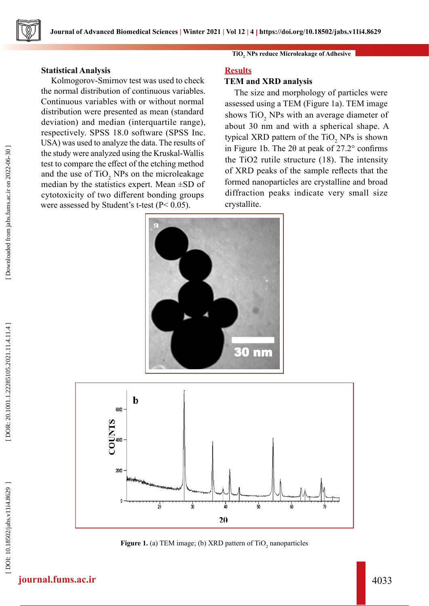# **Statistical Analysis**

Kolmogorov-Smirnov test was used to check the normal distribution of continuous variables. Continuous variables with or without normal distribution were presented as mean (standard deviation) and median (interquartile range), respectively. SPSS 18.0 software (SPSS Inc. USA) was used to analyze the data. The results of the study were analyzed using the Kruskal-Wallis test to compare the effect of the etching method and the use of  $TiO_2$  NPs on the microleakage median by the statistics expert. Mean  $\pm SD$  of cytotoxicity of two different bonding groups were assessed by Student's t-test (P< 0.05).

# **TiO 2 NPs reduce Microleakage of Adhesive**

### **Results**

### **TEM and XRD analysis**

The size and morphology of particles were assessed using a TEM (Figure 1a). TEM image shows  $TiO<sub>2</sub>$  NPs with an average diameter of about 30 nm and with a spherical shape. A typical XRD pattern of the  $TiO_2$  NPs is shown in Figure 1b. The 2θ at peak of 27.2° confirms the TiO2 rutile structure (18). The intensity of XRD peaks of the sample reflects that the formed nanoparticles are crystalline and broad diffraction peaks indicate very small size crystallite.





**Figure 1.** (a) TEM image; (b) XRD pattern of TiO<sub>2</sub> nanoparticles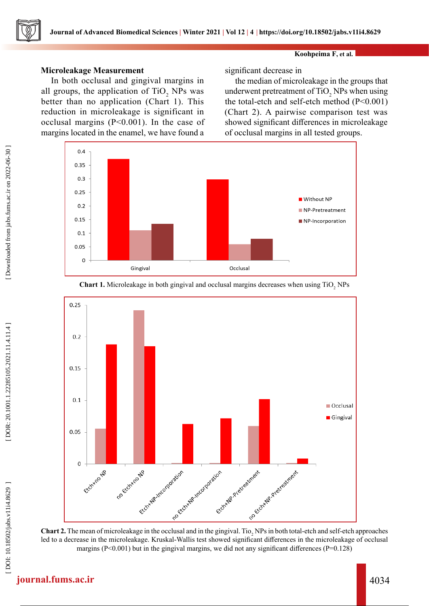# **Microleakage Measurement**

In both occlusal and gingival margins in all groups, the application of  $TiO_2$  NPs was better than no application (Chart 1). This reduction in microleakage is significant in occlusal margins (P<0.001). In the case of margins located in the enamel, we have found a

significant decrease in

the median of microleakage in the groups that underwent pretreatment of  $TiO_2$  NPs when using the total-etch and self-etch method (P<0.001) (Chart 2). A pairwise comparison test was showed significant differences in microleakage of occlusal margins in all tested groups.





Chart 1. Microleakage in both gingival and occlusal margins decreases when using TiO<sub>2</sub> NPs

**Chart 2.** The mean of microleakage in the occlusal and in the gingival. Tio<sub>2</sub> NPs in both total-etch and self-etch approaches led to a decrease in the microleakage. Kruskal-Wallis test showed significant differences in the microleakage of occlusal margins  $(P<0.001)$  but in the gingival margins, we did not any significant differences  $(P=0.128)$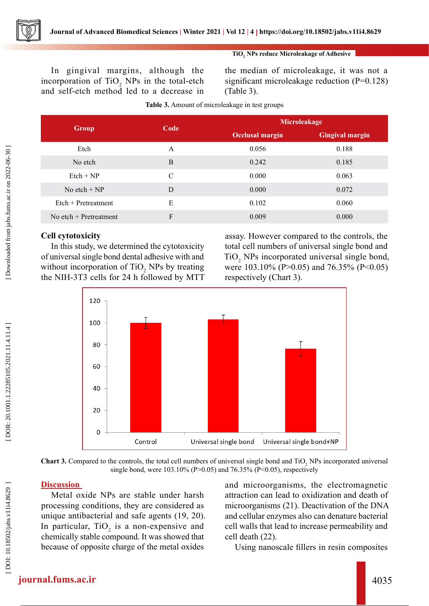

In gingival margins, although the incorporation of  $TiO<sub>2</sub>$  NPs in the total-etch and self-etch method led to a decrease in

the median of microleakage, it was not a significant microleakage reduction (P=0.128) (Table 3).

| <b>Group</b>             | Code          | Microleakage           |                        |
|--------------------------|---------------|------------------------|------------------------|
|                          |               | <b>Occlusal margin</b> | <b>Gingival margin</b> |
| Etch                     | A             | 0.056                  | 0.188                  |
| No etch                  | B             | 0.242                  | 0.185                  |
| $Etch + NP$              | $\mathcal{C}$ | 0.000                  | 0.063                  |
| No etch $+ NP$           | D             | 0.000                  | 0.072                  |
| $E$ tch + Pretreatment   | E             | 0.102                  | 0.060                  |
| No etch $+$ Pretreatment | F             | 0.009                  | 0.000                  |

# **Cell cytotoxicity**

In this study, we determined the cytotoxicity of universal single bond dental adhesive with and without incorporation of  $TiO_2$  NPs by treating the NIH-3T3 cells for 24 h followed by MTT

assay. However compared to the controls, the total cell numbers of universal single bond and TiO 2 NPs incorporated universal single bond, were 103.10% (P>0.05) and 76.35% (P<0.05) respectively (Chart 3).



**Chart 3.** Compared to the controls, the total cell numbers of universal single bond and TiO<sub>2</sub> NPs incorporated universal single bond, were  $103.10\%$  (P $>0.05$ ) and 76.35% (P $<0.05$ ), respectively

# **Discussion**

Metal oxide NPs are stable under harsh processing conditions, they are considered as unique antibacterial and safe agents (19, 20). In particular,  $TiO<sub>2</sub>$  is a non-expensive and chemically stable compound. It was showed that because of opposite charge of the metal oxides

and microorganisms, the electromagnetic attraction can lead to oxidization and death of microorganisms (21). Deactivation of the DNA and cellular enzymes also can denature bacterial cell walls that lead to increase permeability and cell death (22).

Using nanoscale fillers in resin composites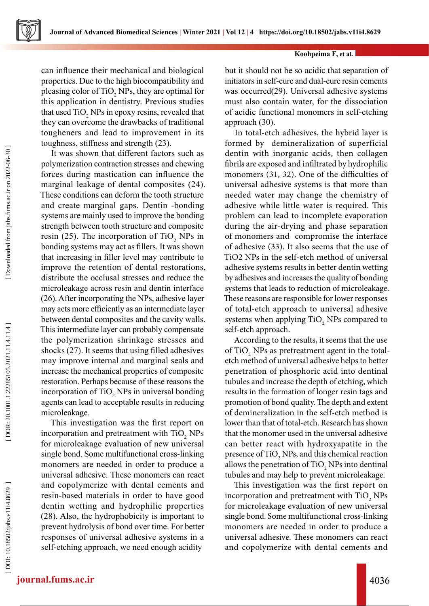

#### **Koohpeima F, et al.**

can influence their mechanical and biological properties. Due to the high biocompatibility and pleasing color of  $TiO<sub>2</sub>$  NPs, they are optimal for this application in dentistry. Previous studies that used  $\mathrm{TiO}_2$  NPs in epoxy resins, revealed that they can overcome the drawbacks of traditional tougheners and lead to improvement in its toughness, stiffness and strength (23).

It was shown that different factors such as polymerization contraction stresses and chewing forces during mastication can influence the marginal leakage of dental composites (24). These conditions can deform the tooth structure and create marginal gaps. Dentin -bonding systems are mainly used to improve the bonding strength between tooth structure and composite resin (25). The incorporation of  $TiO_2$  NPs in bonding systems may act as fillers. It was shown that increasing in filler level may contribute to improve the retention of dental restorations, distribute the occlusal stresses and reduce the microleakage across resin and dentin interface (26). After incorporating the NPs, adhesive layer may acts more efficiently as an intermediate layer between dental composites and the cavity walls. This intermediate layer can probably compensate the polymerization shrinkage stresses and shocks (27). It seems that using filled adhesives may improve internal and marginal seals and increase the mechanical properties of composite restoration. Perhaps because of these reasons the incorporation of  $TiO<sub>2</sub>$  NPs in universal bonding agents can lead to acceptable results in reducing microleakage.

This investigation was the first report on incorporation and pretreatment with  $TiO_2$  NPs for microleakage evaluation of new universal single bond. Some multifunctional cross-linking monomers are needed in order to produce a universal adhesive. These monomers can react and copolymerize with dental cements and resin-based materials in order to have good dentin wetting and hydrophilic properties (28). Also, the hydrophobicity is important to prevent hydrolysis of bond over time. For better responses of universal adhesive systems in a self-etching approach, we need enough acidity

but it should not be so acidic that separation of initiators in self-cure and dual-cure resin cements was occurred(29). Universal adhesive systems must also contain water, for the dissociation of acidic functional monomers in self-etching approach (30).

In total-etch adhesives, the hybrid layer is formed by demineralization of superficial dentin with inorganic acids, then collagen fibrils are exposed and infiltrated by hydrophilic monomers (31, 32). One of the difficulties of universal adhesive systems is that more than needed water may change the chemistry of adhesive while little water is required. This problem can lead to incomplete evaporation during the air-drying and phase separation of monomers and compromise the interface of adhesive (33). It also seems that the use of TiO2 NPs in the self-etch method of universal adhesive systems results in better dentin wetting by adhesives and increases the quality of bonding systems that leads to reduction of microleakage. These reasons are responsible for lower responses of total-etch approach to universal adhesive systems when applying  $TiO_2$  NPs compared to self-etch approach.

According to the results, it seems that the use of TiO<sub>2</sub> NPs as pretreatment agent in the totaletch method of universal adhesive helps to better penetration of phosphoric acid into dentinal tubules and increase the depth of etching, which results in the formation of longer resin tags and promotion of bond quality. The depth and extent of demineralization in the self-etch method is lower than that of total-etch. Research has shown that the monomer used in the universal adhesive can better react with hydroxyapatite in the presence of  $\text{TiO}_2$  NPs, and this chemical reaction allows the penetration of  $\text{TiO}_2$  NPs into dentinal tubules and may help to prevent microleakage.

This investigation was the first report on incorporation and pretreatment with  $\text{TiO}_2$  NPs for microleakage evaluation of new universal single bond. Some multifunctional cross-linking monomers are needed in order to produce a universal adhesive. These monomers can react and copolymerize with dental cements and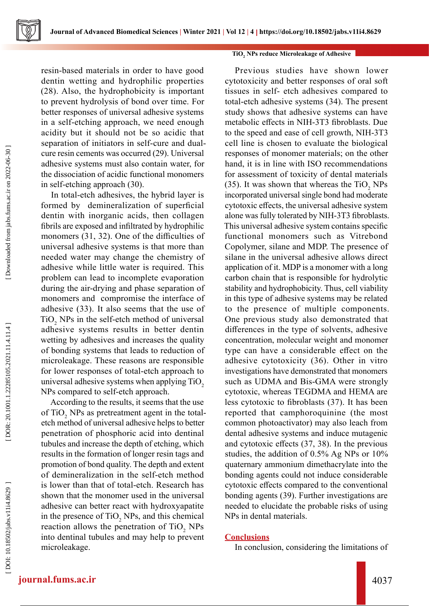resin-based materials in order to have good dentin wetting and hydrophilic properties (28). Also, the hydrophobicity is important to prevent hydrolysis of bond over time. For better responses of universal adhesive systems in a self-etching approach, we need enough acidity but it should not be so acidic that separation of initiators in self-cure and dualcure resin cements was occurred (29). Universal adhesive systems must also contain water, for the dissociation of acidic functional monomers in self-etching approach (30).

In total-etch adhesives, the hybrid layer is formed by demineralization of superficial dentin with inorganic acids, then collagen fibrils are exposed and infiltrated by hydrophilic monomers (31, 32). One of the difficulties of universal adhesive systems is that more than needed water may change the chemistry of adhesive while little water is required. This problem can lead to incomplete evaporation during the air-drying and phase separation of monomers and compromise the interface of adhesive (33). It also seems that the use of  $TiO<sub>2</sub>$  NPs in the self-etch method of universal adhesive systems results in better dentin wetting by adhesives and increases the quality of bonding systems that leads to reduction of microleakage. These reasons are responsible for lower responses of total-etch approach to universal adhesive systems when applying TiO $_2^{}$ NPs compared to self-etch approach.

According to the results, it seems that the use of TiO<sub>2</sub> NPs as pretreatment agent in the totaletch method of universal adhesive helps to better penetration of phosphoric acid into dentinal tubules and increase the depth of etching, which results in the formation of longer resin tags and promotion of bond quality. The depth and extent of demineralization in the self-etch method is lower than that of total-etch. Research has shown that the monomer used in the universal adhesive can better react with hydroxyapatite in the presence of  $TiO<sub>2</sub>$  NPs, and this chemical reaction allows the penetration of  $TiO_2$  NPs into dentinal tubules and may help to prevent microleakage.

### **TiO 2 NPs reduce Microleakage of Adhesive**

Previous studies have shown lower cytotoxicity and better responses of oral soft tissues in self- etch adhesives compared to total-etch adhesive systems (34). The present study shows that adhesive systems can have metabolic effects in NIH-3T3 fibroblasts. Due to the speed and ease of cell growth, NIH-3T3 cell line is chosen to evaluate the biological responses of monomer materials; on the other hand, it is in line with ISO recommendations for assessment of toxicity of dental materials (35). It was shown that whereas the  $TiO_2$  NPs incorporated universal single bond had moderate cytotoxic effects, the universal adhesive system alone was fully tolerated by NIH-3T3 fibroblasts. This universal adhesive system contains specific functional monomers such as Vitrebond Copolymer, silane and MDP. The presence of silane in the universal adhesive allows direct application of it. MDP is a monomer with a long carbon chain that is responsible for hydrolytic stability and hydrophobicity. Thus, cell viability in this type of adhesive systems may be related to the presence of multiple components. One previous study also demonstrated that differences in the type of solvents, adhesive concentration, molecular weight and monomer type can have a considerable effect on the adhesive cytotoxicity (36). Other in vitro investigations have demonstrated that monomers such as UDMA and Bis-GMA were strongly cytotoxic, whereas TEGDMA and HEMA are less cytotoxic to fibroblasts (37). It has been reported that camphoroquinine (the most common photoactivator) may also leach from dental adhesive systems and induce mutagenic and cytotoxic effects (37, 38). In the previous studies, the addition of 0.5% Ag NPs or 10% quaternary ammonium dimethacrylate into the bonding agents could not induce considerable cytotoxic effects compared to the conventional bonding agents (39). Further investigations are needed to elucidate the probable risks of using NPs in dental materials.

### **Conclusions**

In conclusion, considering the limitations of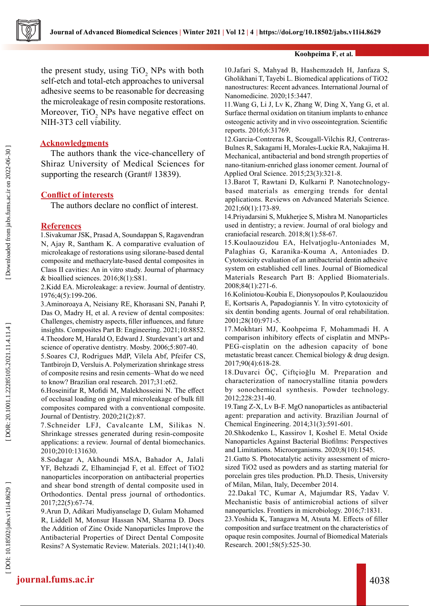

the present study, using  $TiO_2$  NPs with both self-etch and total-etch approaches to universal adhesive seems to be reasonable for decreasing the microleakage of resin composite restorations. Moreover, TiO<sub>2</sub> NPs have negative effect on NIH-3T3 cell viability.

### **Acknowledgments**

The authors thank the vice-chancellery of Shiraz University of Medical Sciences for supporting the research (Grant# 13839).

# **Conflict of interests**

The authors declare no conflict of interest.

### **References**

1.Sivakumar JSK, Prasad A, Soundappan S, Ragavendran N, Ajay R, Santham K. A comparative evaluation of microleakage of restorations using silorane-based dental composite and methacrylate-based dental composites in Class II cavities: An in vitro study. Journal of pharmacy & bioallied sciences. 2016;8(1):S81.

2.Kidd EA. Microleakage: a review. Journal of dentistry. 1976;4(5):199-206.

3.Aminoroaya A, Neisiany RE, Khorasani SN, Panahi P, Das O, Madry H, et al. A review of dental composites: Challenges, chemistry aspects, filler influences, and future insights. Composites Part B: Engineering. 2021;10:8852. 4.Theodore M, Harald O, Edward J. Sturdevant's art and science of operative dentistry. Mosby. 2006;5:807-40.

5.Soares CJ, Rodrigues MdP, Vilela Abf, Pfeifer CS, Tantbirojn D, Versluis A. Polymerization shrinkage stress of composite resins and resin cements–What do we need to know? Brazilian oral research. 2017;31:e62.

6.Hoseinifar R, Mofidi M, Malekhosseini N. The effect of occlusal loading on gingival microleakage of bulk fill composites compared with a conventional composite. Journal of Dentistry. 2020;21(2):87.

7.Schneider LFJ, Cavalcante LM, Silikas N. Shrinkage stresses generated during resin-composite applications: a review. Journal of dental biomechanics. 2010;2010:131630.

8.Sodagar A, Akhoundi MSA, Bahador A, Jalali YF, Behzadi Z, Elhaminejad F, et al. Effect of TiO2 nanoparticles incorporation on antibacterial properties and shear bond strength of dental composite used in Orthodontics. Dental press journal of orthodontics. 2017;22(5):67-74.

9.Arun D, Adikari Mudiyanselage D, Gulam Mohamed R, Liddell M, Monsur Hassan NM, Sharma D. Does the Addition of Zinc Oxide Nanoparticles Improve the Antibacterial Properties of Direct Dental Composite Resins? A Systematic Review. Materials. 2021;14(1):40.

#### **Koohpeima F, et al.**

10.Jafari S, Mahyad B, Hashemzadeh H, Janfaza S, Gholikhani T, Tayebi L. Biomedical applications of TiO2 nanostructures: Recent advances. International Journal of Nanomedicine. 2020;15:3447.

11.Wang G, Li J, Lv K, Zhang W, Ding X, Yang G, et al. Surface thermal oxidation on titanium implants to enhance osteogenic activity and in vivo osseointegration. Scientific reports. 2016;6:31769.

12.Garcia-Contreras R, Scougall-Vilchis RJ, Contreras-Bulnes R, Sakagami H, Morales-Luckie RA, Nakajima H. Mechanical, antibacterial and bond strength properties of nano-titanium-enriched glass ionomer cement. Journal of Applied Oral Science. 2015;23(3):321-8.

13.Barot T, Rawtani D, Kulkarni P. Nanotechnologybased materials as emerging trends for dental applications. Reviews on Advanced Materials Science. 2021;60(1):173-89.

14.Priyadarsini S, Mukherjee S, Mishra M. Nanoparticles used in dentistry; a review. Journal of oral biology and craniofacial research. 2018;8(1):58-67.

15.Koulaouzidou EA, Helvatjoglu-Antoniades M, Palaghias G, Karanika-Kouma A, Antoniades D. Cytotoxicity evaluation of an antibacterial dentin adhesive system on established cell lines. Journal of Biomedical Materials Research Part B: Applied Biomaterials. 2008;84(1):271-6.

16.Koliniotou-Koubia E, Dionysopoulos P, Koulaouzidou E, Kortsaris A, Papadogiannis Y. In vitro cytotoxicity of six dentin bonding agents. Journal of oral rehabilitation. 2001;28(10):971-5.

17.Mokhtari MJ, Koohpeima F, Mohammadi H. A comparison inhibitory effects of cisplatin and MNPs-PEG-cisplatin on the adhesion capacity of bone metastatic breast cancer. Chemical biology & drug design. 2017;90(4):618-28.

18.Duvarci ÖÇ, Çiftçioğlu M. Preparation and characterization of nanocrystalline titania powders by sonochemical synthesis. Powder technology. 2012;228:231-40.

19.Tang Z-X, Lv B-F. MgO nanoparticles as antibacterial agent: preparation and activity. Brazilian Journal of Chemical Engineering. 2014;31(3):591-601.

20.Shkodenko L, Kassirov I, Koshel E. Metal Oxide Nanoparticles Against Bacterial Biofilms: Perspectives and Limitations. Microorganisms. 2020;8(10):1545.

21.Gatto S. Photocatalytic activity assessment of microsized TiO2 used as powders and as starting material for porcelain gres tiles production. Ph.D. Thesis, University of Milan, Milan, Italy, December 2014.

 22.Dakal TC, Kumar A, Majumdar RS, Yadav V. Mechanistic basis of antimicrobial actions of silver nanoparticles. Frontiers in microbiology. 2016;7:1831.

23.Yoshida K, Tanagawa M, Atsuta M. Effects of filler composition and surface treatment on the characteristics of opaque resin composites. Journal of Biomedical Materials Research. 2001;58(5):525-30.